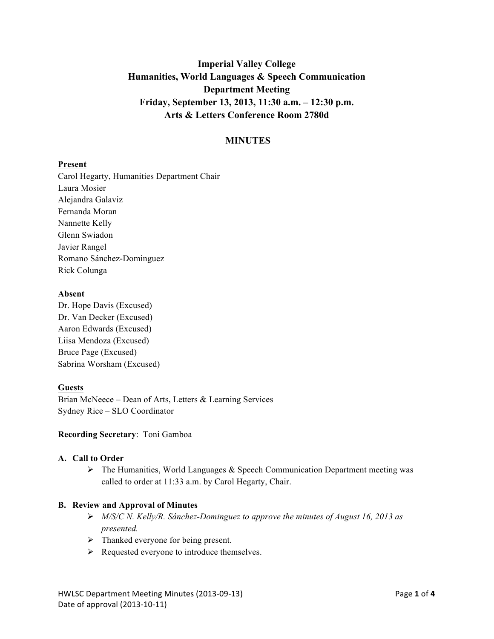# **Imperial Valley College Humanities, World Languages & Speech Communication Department Meeting Friday, September 13, 2013, 11:30 a.m. – 12:30 p.m. Arts & Letters Conference Room 2780d**

# **MINUTES**

#### **Present**

Carol Hegarty, Humanities Department Chair Laura Mosier Alejandra Galaviz Fernanda Moran Nannette Kelly Glenn Swiadon Javier Rangel Romano Sánchez-Dominguez Rick Colunga

#### **Absent**

Dr. Hope Davis (Excused) Dr. Van Decker (Excused) Aaron Edwards (Excused) Liisa Mendoza (Excused) Bruce Page (Excused) Sabrina Worsham (Excused)

# **Guests**

Brian McNeece – Dean of Arts, Letters & Learning Services Sydney Rice – SLO Coordinator

## **Recording Secretary**: Toni Gamboa

#### **A. Call to Order**

 $\triangleright$  The Humanities, World Languages & Speech Communication Department meeting was called to order at 11:33 a.m. by Carol Hegarty, Chair.

#### **B. Review and Approval of Minutes**

- *M/S/C N. Kelly/R. Sánchez-Dominguez to approve the minutes of August 16, 2013 as presented.*
- > Thanked everyone for being present.
- $\triangleright$  Requested everyone to introduce themselves.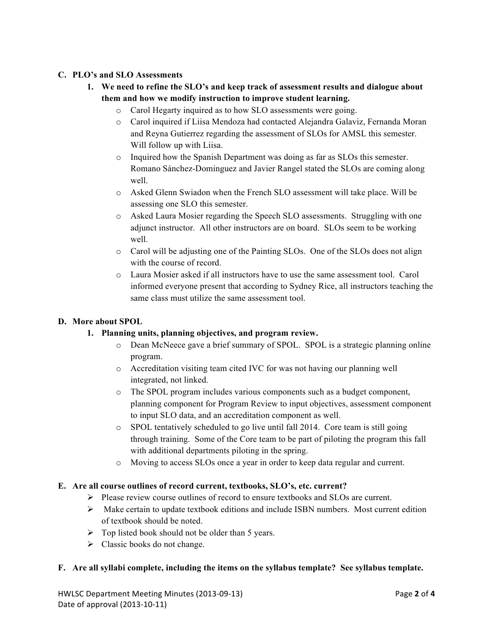## **C. PLO's and SLO Assessments**

- **1. We need to refine the SLO's and keep track of assessment results and dialogue about them and how we modify instruction to improve student learning.**
	- o Carol Hegarty inquired as to how SLO assessments were going.
	- o Carol inquired if Liisa Mendoza had contacted Alejandra Galaviz, Fernanda Moran and Reyna Gutierrez regarding the assessment of SLOs for AMSL this semester. Will follow up with Liisa.
	- o Inquired how the Spanish Department was doing as far as SLOs this semester. Romano Sánchez-Dominguez and Javier Rangel stated the SLOs are coming along well.
	- o Asked Glenn Swiadon when the French SLO assessment will take place. Will be assessing one SLO this semester.
	- o Asked Laura Mosier regarding the Speech SLO assessments. Struggling with one adjunct instructor. All other instructors are on board. SLOs seem to be working well.
	- o Carol will be adjusting one of the Painting SLOs. One of the SLOs does not align with the course of record.
	- o Laura Mosier asked if all instructors have to use the same assessment tool. Carol informed everyone present that according to Sydney Rice, all instructors teaching the same class must utilize the same assessment tool.

#### **D. More about SPOL**

- **1. Planning units, planning objectives, and program review.**
	- o Dean McNeece gave a brief summary of SPOL. SPOL is a strategic planning online program.
	- o Accreditation visiting team cited IVC for was not having our planning well integrated, not linked.
	- $\circ$  The SPOL program includes various components such as a budget component, planning component for Program Review to input objectives, assessment component to input SLO data, and an accreditation component as well.
	- o SPOL tentatively scheduled to go live until fall 2014. Core team is still going through training. Some of the Core team to be part of piloting the program this fall with additional departments piloting in the spring.
	- o Moving to access SLOs once a year in order to keep data regular and current.

#### **E. Are all course outlines of record current, textbooks, SLO's, etc. current?**

- $\triangleright$  Please review course outlines of record to ensure textbooks and SLOs are current.
- $\triangleright$  Make certain to update textbook editions and include ISBN numbers. Most current edition of textbook should be noted.
- $\triangleright$  Top listed book should not be older than 5 years.
- $\triangleright$  Classic books do not change.

#### **F. Are all syllabi complete, including the items on the syllabus template? See syllabus template.**

HWLSC&Department&Meeting&Minutes&(2013909913)&&&&&&&&&&&&&&&&&&&&&&&&&&&&&&&&&&&&&&&&&&&&&&&&&&&&&&&&&&&&&&&&&&&&&&&&&&&&Page&**2** of&**4** Date of approval (2013-10-11)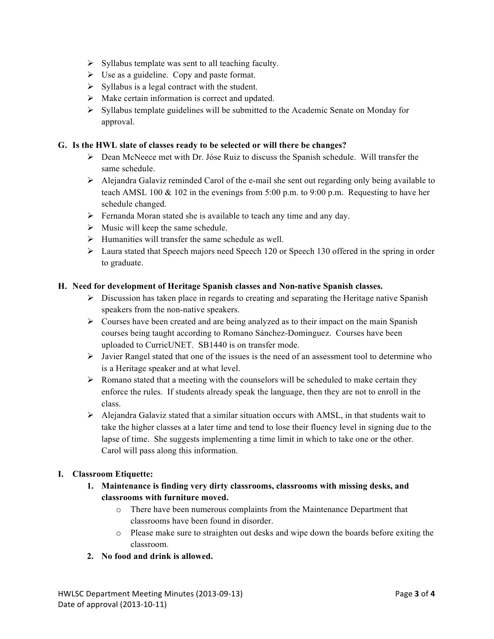- $\triangleright$  Syllabus template was sent to all teaching faculty.
- $\triangleright$  Use as a guideline. Copy and paste format.
- $\triangleright$  Syllabus is a legal contract with the student.
- $\triangleright$  Make certain information is correct and updated.
- $\triangleright$  Syllabus template guidelines will be submitted to the Academic Senate on Monday for approval.

#### **G. Is the HWL slate of classes ready to be selected or will there be changes?**

- $\triangleright$  Dean McNeece met with Dr. Jóse Ruiz to discuss the Spanish schedule. Will transfer the same schedule.
- Alejandra Galaviz reminded Carol of the e-mail she sent out regarding only being available to teach AMSL 100  $\&$  102 in the evenings from 5:00 p.m. to 9:00 p.m. Requesting to have her schedule changed.
- $\triangleright$  Fernanda Moran stated she is available to teach any time and any day.
- $\triangleright$  Music will keep the same schedule.
- $\triangleright$  Humanities will transfer the same schedule as well.
- $\triangleright$  Laura stated that Speech majors need Speech 120 or Speech 130 offered in the spring in order to graduate.

#### **H. Need for development of Heritage Spanish classes and Non-native Spanish classes.**

- $\triangleright$  Discussion has taken place in regards to creating and separating the Heritage native Spanish speakers from the non-native speakers.
- $\triangleright$  Courses have been created and are being analyzed as to their impact on the main Spanish courses being taught according to Romano Sánchez-Dominguez. Courses have been uploaded to CurricUNET. SB1440 is on transfer mode.
- $\triangleright$  Javier Rangel stated that one of the issues is the need of an assessment tool to determine who is a Heritage speaker and at what level.
- $\triangleright$  Romano stated that a meeting with the counselors will be scheduled to make certain they enforce the rules. If students already speak the language, then they are not to enroll in the class.
- $\triangleright$  Alejandra Galaviz stated that a similar situation occurs with AMSL, in that students wait to take the higher classes at a later time and tend to lose their fluency level in signing due to the lapse of time. She suggests implementing a time limit in which to take one or the other. Carol will pass along this information.

#### **I. Classroom Etiquette:**

- **1. Maintenance is finding very dirty classrooms, classrooms with missing desks, and classrooms with furniture moved.**
	- o There have been numerous complaints from the Maintenance Department that classrooms have been found in disorder.
	- o Please make sure to straighten out desks and wipe down the boards before exiting the classroom.

#### **2. No food and drink is allowed.**